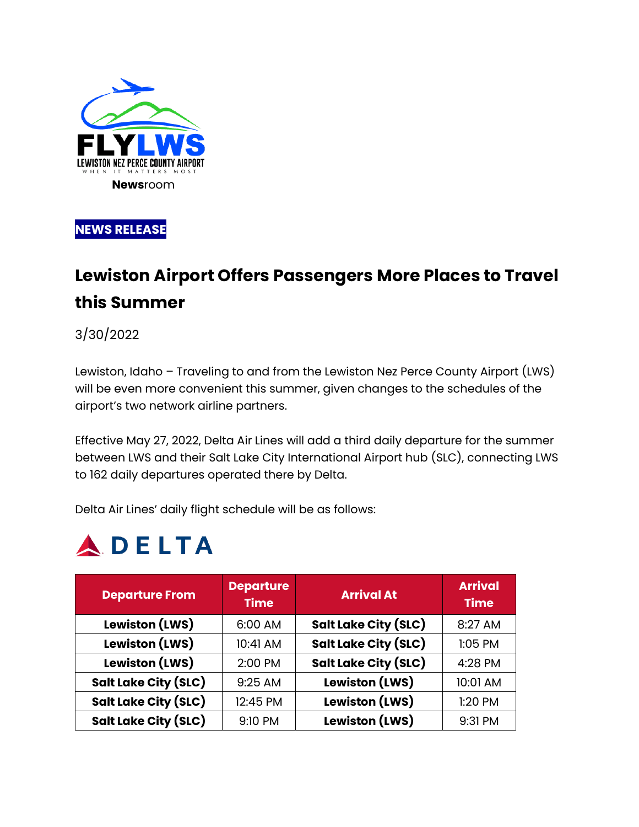

**NEWS RELEASE** 

## **Lewiston Airport Offers Passengers More Places to Travel this Summer**

3/30/2022

Lewiston, Idaho – Traveling to and from the Lewiston Nez Perce County Airport (LWS) will be even more convenient this summer, given changes to the schedules of the airport's two network airline partners.

Effective May 27, 2022, Delta Air Lines will add a third daily departure for the summer between LWS and their Salt Lake City International Airport hub (SLC), connecting LWS to 162 daily departures operated there by Delta.

Delta Air Lines' daily flight schedule will be as follows:

# **ADELTA**

| <b>Departure From</b>       | <b>Departure</b><br><b>Time</b> | <b>Arrival At</b>           | <b>Arrival</b><br><b>Time</b> |
|-----------------------------|---------------------------------|-----------------------------|-------------------------------|
| Lewiston (LWS)              | 6:00 AM                         | <b>Salt Lake City (SLC)</b> | 8:27 AM                       |
| <b>Lewiston (LWS)</b>       | 10:41 AM                        | <b>Salt Lake City (SLC)</b> | $1:05$ PM                     |
| <b>Lewiston (LWS)</b>       | 2:00 PM                         | <b>Salt Lake City (SLC)</b> | 4:28 PM                       |
| <b>Salt Lake City (SLC)</b> | 9:25 AM                         | <b>Lewiston (LWS)</b>       | 10:01 AM                      |
| <b>Salt Lake City (SLC)</b> | 12:45 PM                        | <b>Lewiston (LWS)</b>       | 1:20 PM                       |
| <b>Salt Lake City (SLC)</b> | 9:10 PM                         | <b>Lewiston (LWS)</b>       | 9:31 PM                       |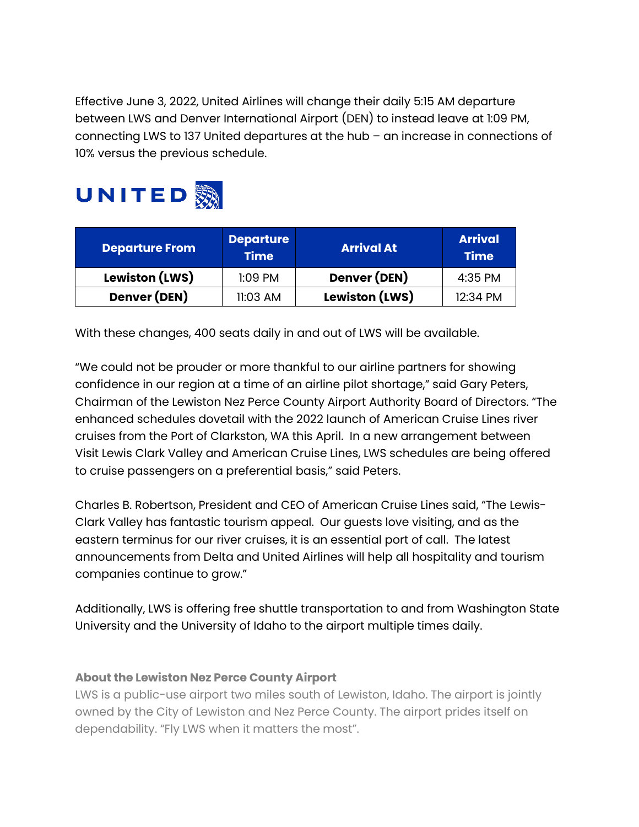Effective June 3, 2022, United Airlines will change their daily 5:15 AM departure between LWS and Denver International Airport (DEN) to instead leave at 1:09 PM, connecting LWS to 137 United departures at the hub – an increase in connections of 10% versus the previous schedule.



| <b>Departure From</b> | <b>Departure</b><br><b>Time</b> | <b>Arrival At</b>     | <b>Arrival</b><br><b>Time</b> |
|-----------------------|---------------------------------|-----------------------|-------------------------------|
| Lewiston (LWS)        | $1:09$ PM                       | Denver (DEN)          | 4:35 PM                       |
| Denver (DEN)          | 11:03 AM                        | <b>Lewiston (LWS)</b> | 12:34 PM                      |

With these changes, 400 seats daily in and out of LWS will be available.

"We could not be prouder or more thankful to our airline partners for showing confidence in our region at a time of an airline pilot shortage," said Gary Peters, Chairman of the Lewiston Nez Perce County Airport Authority Board of Directors. "The enhanced schedules dovetail with the 2022 launch of American Cruise Lines river cruises from the Port of Clarkston, WA this April. In a new arrangement between Visit Lewis Clark Valley and American Cruise Lines, LWS schedules are being offered to cruise passengers on a preferential basis," said Peters.

Charles B. Robertson, President and CEO of American Cruise Lines said, "The Lewis-Clark Valley has fantastic tourism appeal. Our guests love visiting, and as the eastern terminus for our river cruises, it is an essential port of call. The latest announcements from Delta and United Airlines will help all hospitality and tourism companies continue to grow."

Additionally, LWS is offering free shuttle transportation to and from Washington State University and the University of Idaho to the airport multiple times daily.

### **About the Lewiston Nez Perce County Airport**

LWS is a public-use airport two miles south of Lewiston, Idaho. The airport is jointly owned by the City of Lewiston and Nez Perce County. The airport prides itself on dependability. "Fly LWS when it matters the most".